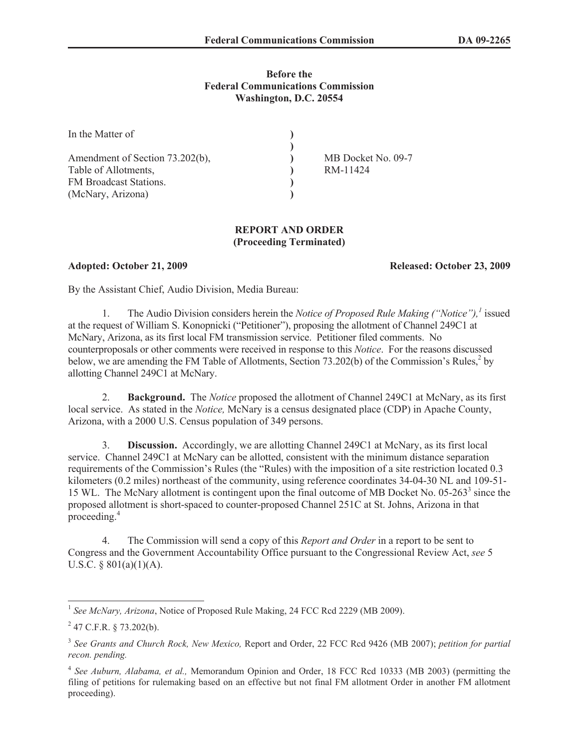## **Before the Federal Communications Commission Washington, D.C. 20554**

| In the Matter of                |                    |
|---------------------------------|--------------------|
|                                 |                    |
| Amendment of Section 73.202(b), | MB Docket No. 09-7 |
| Table of Allotments,            | RM-11424           |
| FM Broadcast Stations.          |                    |
| (McNary, Arizona)               |                    |

## **REPORT AND ORDER (Proceeding Terminated)**

**Adopted: October 21, 2009 Released: October 23, 2009**

By the Assistant Chief, Audio Division, Media Bureau:

1. The Audio Division considers herein the *Notice of Proposed Rule Making ("Notice"),<sup>1</sup>* issued at the request of William S. Konopnicki ("Petitioner"), proposing the allotment of Channel 249C1 at McNary, Arizona, as its first local FM transmission service. Petitioner filed comments. No counterproposals or other comments were received in response to this *Notice*. For the reasons discussed below, we are amending the FM Table of Allotments, Section 73.202(b) of the Commission's Rules, $2$  by allotting Channel 249C1 at McNary.

2. **Background.** The *Notice* proposed the allotment of Channel 249C1 at McNary, as its first local service. As stated in the *Notice,* McNary is a census designated place (CDP) in Apache County, Arizona, with a 2000 U.S. Census population of 349 persons.

3. **Discussion.** Accordingly, we are allotting Channel 249C1 at McNary, as its first local service. Channel 249C1 at McNary can be allotted, consistent with the minimum distance separation requirements of the Commission's Rules (the "Rules) with the imposition of a site restriction located 0.3 kilometers (0.2 miles) northeast of the community, using reference coordinates 34-04-30 NL and 109-51- 15 WL. The McNary allotment is contingent upon the final outcome of MB Docket No. 05-263<sup>3</sup> since the proposed allotment is short-spaced to counter-proposed Channel 251C at St. Johns, Arizona in that proceeding.<sup>4</sup>

4. The Commission will send a copy of this *Report and Order* in a report to be sent to Congress and the Government Accountability Office pursuant to the Congressional Review Act, *see* 5 U.S.C. §  $801(a)(1)(A)$ .

<sup>&</sup>lt;sup>1</sup> See McNary, Arizona, Notice of Proposed Rule Making, 24 FCC Rcd 2229 (MB 2009).

 $^{2}$  47 C.F.R. § 73.202(b).

<sup>3</sup> *See Grants and Church Rock, New Mexico,* Report and Order, 22 FCC Rcd 9426 (MB 2007); *petition for partial recon. pending.*

<sup>4</sup> *See Auburn, Alabama, et al.,* Memorandum Opinion and Order, 18 FCC Rcd 10333 (MB 2003) (permitting the filing of petitions for rulemaking based on an effective but not final FM allotment Order in another FM allotment proceeding).